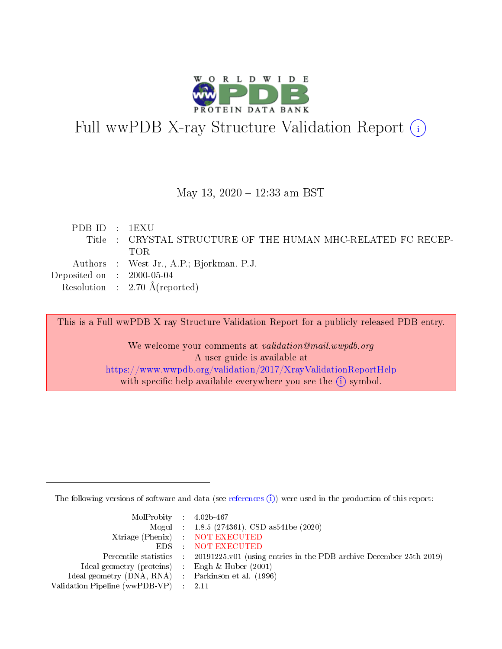

# Full wwPDB X-ray Structure Validation Report (i)

#### May 13, 2020 - 12:33 am BST

| PDB ID : 1EXU                        |                                                              |
|--------------------------------------|--------------------------------------------------------------|
|                                      | Title : CRYSTAL STRUCTURE OF THE HUMAN MHC-RELATED FC RECEP- |
|                                      | TOR.                                                         |
|                                      | Authors : West Jr., A.P.; Bjorkman, P.J.                     |
| Deposited on $\therefore$ 2000-05-04 |                                                              |
|                                      | Resolution : $2.70 \text{ Å}$ (reported)                     |
|                                      |                                                              |

This is a Full wwPDB X-ray Structure Validation Report for a publicly released PDB entry.

We welcome your comments at validation@mail.wwpdb.org A user guide is available at <https://www.wwpdb.org/validation/2017/XrayValidationReportHelp> with specific help available everywhere you see the  $(i)$  symbol.

The following versions of software and data (see [references](https://www.wwpdb.org/validation/2017/XrayValidationReportHelp#references)  $(i)$ ) were used in the production of this report:

| $MolProbability$ 4.02b-467                          |                                                                                            |
|-----------------------------------------------------|--------------------------------------------------------------------------------------------|
|                                                     | Mogul : $1.8.5$ (274361), CSD as 541be (2020)                                              |
|                                                     | Xtriage (Phenix) NOT EXECUTED                                                              |
|                                                     | EDS NOT EXECUTED                                                                           |
|                                                     | Percentile statistics : 20191225.v01 (using entries in the PDB archive December 25th 2019) |
| Ideal geometry (proteins) :                         | Engh & Huber $(2001)$                                                                      |
| Ideal geometry (DNA, RNA) : Parkinson et al. (1996) |                                                                                            |
| Validation Pipeline (wwPDB-VP)                      | - 2.11                                                                                     |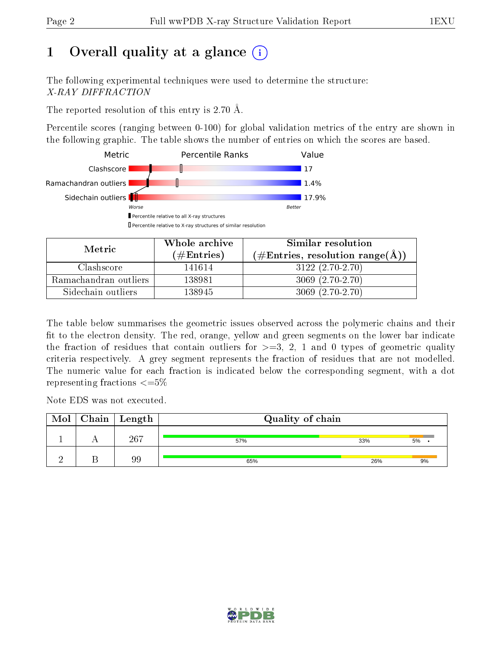## 1 [O](https://www.wwpdb.org/validation/2017/XrayValidationReportHelp#overall_quality)verall quality at a glance  $(i)$

The following experimental techniques were used to determine the structure: X-RAY DIFFRACTION

The reported resolution of this entry is 2.70 Å.

Percentile scores (ranging between 0-100) for global validation metrics of the entry are shown in the following graphic. The table shows the number of entries on which the scores are based.



| Metric.               | Whole archive       | Similar resolution                                        |
|-----------------------|---------------------|-----------------------------------------------------------|
|                       | (# $\rm{Entries}$ ) | $(\#\text{Entries}, \text{resolution range}(\text{\AA}))$ |
| Clashscore            | 141614              | $3122(2.70-2.70)$                                         |
| Ramachandran outliers | 138981              | $3069(2.70-2.70)$                                         |
| Sidechain outliers    | 138945              | $3069(2.70-2.70)$                                         |

The table below summarises the geometric issues observed across the polymeric chains and their fit to the electron density. The red, orange, yellow and green segments on the lower bar indicate the fraction of residues that contain outliers for  $\geq=3$ , 2, 1 and 0 types of geometric quality criteria respectively. A grey segment represents the fraction of residues that are not modelled. The numeric value for each fraction is indicated below the corresponding segment, with a dot representing fractions  $\epsilon = 5\%$ 

Note EDS was not executed.

| Mol | $Chain \  Length$ | Quality of chain |     |    |
|-----|-------------------|------------------|-----|----|
|     | 267               | 57%              | 33% | 5% |
|     | 99                | 65%              | 26% | 9% |

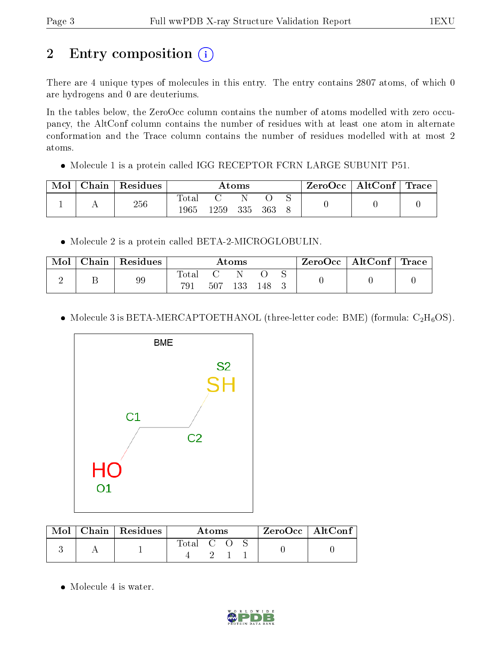## 2 Entry composition (i)

There are 4 unique types of molecules in this entry. The entry contains 2807 atoms, of which 0 are hydrogens and 0 are deuteriums.

In the tables below, the ZeroOcc column contains the number of atoms modelled with zero occupancy, the AltConf column contains the number of residues with at least one atom in alternate conformation and the Trace column contains the number of residues modelled with at most 2 atoms.

Molecule 1 is a protein called IGG RECEPTOR FCRN LARGE SUBUNIT P51.

| Mol | Chain | $^\shortparallel$ Residues | Atoms               |      |     | $\text{ZeroOcc} \mid \text{AltConf} \mid \text{Trace}$ |  |  |  |
|-----|-------|----------------------------|---------------------|------|-----|--------------------------------------------------------|--|--|--|
|     |       | 256                        | $\rm Total$<br>1965 | 1259 | 335 | - 363                                                  |  |  |  |

• Molecule 2 is a protein called BETA-2-MICROGLOBULIN.

| Mol | $\text{Chain}$ | ' Residues | $\rm{Atoms}$ |     |     | $\text{ZeroOcc} \mid \text{AltConf} \mid \text{Trace}$ |  |  |  |
|-----|----------------|------------|--------------|-----|-----|--------------------------------------------------------|--|--|--|
|     |                | 99         | Total        |     |     |                                                        |  |  |  |
|     |                |            |              | 507 | 133 | 148                                                    |  |  |  |

• Molecule 3 is BETA-MERCAPTOETHANOL (three-letter code: BME) (formula:  $C_2H_6OS$ ).



| $\mod\,$ | $\mid$ Chain   Residues | Atoms     |  |  | $\mathsf{ZeroOcc} \mid \mathsf{AltConf} \mid$ |  |
|----------|-------------------------|-----------|--|--|-----------------------------------------------|--|
|          |                         | Total C O |  |  |                                               |  |

• Molecule 4 is water.

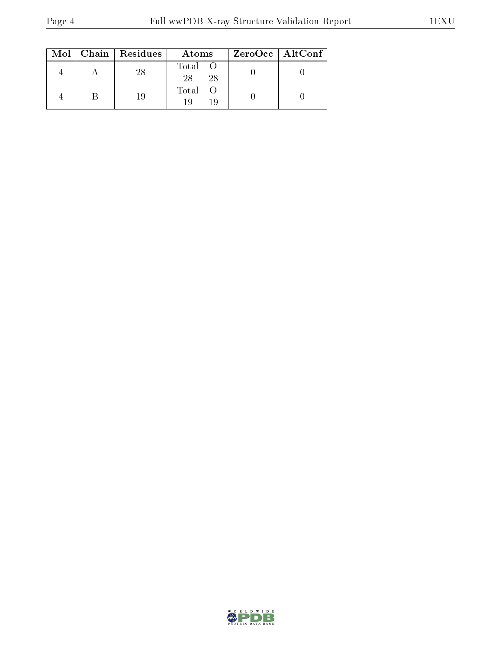|  | $Mol$   Chain   Residues | Atoms               | ZeroOcc   AltConf |
|--|--------------------------|---------------------|-------------------|
|  |                          | Total O<br>28<br>28 |                   |
|  |                          | Total O             |                   |

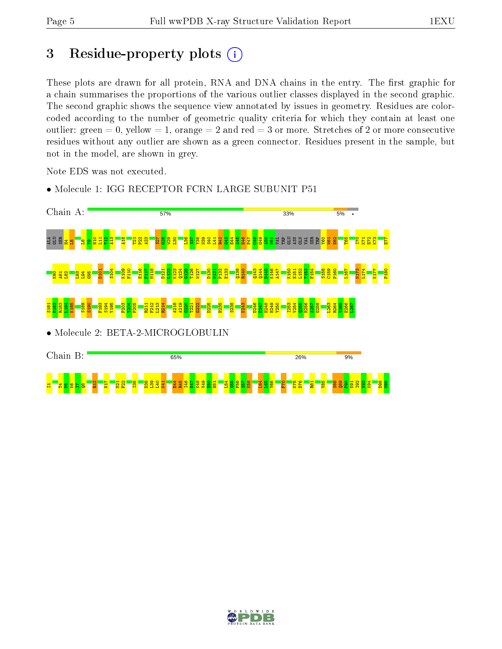$2222$ 

 $\frac{2}{2}$ N17  $\frac{1}{2}$  $\frac{22}{2}$  $\frac{135}{25}$  $\frac{38}{2}$  $\frac{3}{2}$  $\frac{1}{2}$  $\frac{1}{2}$ 

## 3 Residue-property plots  $(i)$

These plots are drawn for all protein, RNA and DNA chains in the entry. The first graphic for a chain summarises the proportions of the various outlier classes displayed in the second graphic. The second graphic shows the sequence view annotated by issues in geometry. Residues are colorcoded according to the number of geometric quality criteria for which they contain at least one outlier: green  $= 0$ , yellow  $= 1$ , orange  $= 2$  and red  $= 3$  or more. Stretches of 2 or more consecutive residues without any outlier are shown as a green connector. Residues present in the sample, but not in the model, are shown in grey.

Note EDS was not executed.

- Chain A: 57% 33% 5%  $438$  $E44$ <mark>g</mark>ge an ang sa  $\frac{6}{11}$  $\overline{\mathbf{H}}$  $\frac{12}{2}$  $\frac{2}{4}$  $\frac{418}{2}$  $\frac{1}{2}$ P22  $\frac{23}{4}$ S27  $\frac{28}{12}$ W29  $\frac{8}{1}$  $\frac{8}{2}$  $\frac{57}{25}$ Y38 N39 S40  $\vert \vec{H} \vert$ R42 श्लो  $\frac{45}{4}$ E46 P47  $\frac{1}{2}$  $\frac{9}{5}$ A50 E62 T65 I70  $\overline{\text{K}}$ E72 K73 E77 ହା S104 K109 F110 E116 F117 M118  $L122$ K123  $124$ G125 T126 W127 D130 P132 E133 Q139 R140 Q143  $\frac{144}{4}$ D145 K146 A147 K150 L152 T153 F154 S158 C159 P160 L167 N173 L174 K177 P180 D101 D121 W131 E151 K80 A81  $\frac{82}{2}$  $\frac{1}{2}$ L94  $\frac{95}{10}$ S181 M182 R183 L184 K185 S189 S190 F193 S194 V195 F203 Y204 P205 R211 F212  $\frac{13}{2}$ R214 A218 A219  $\frac{20}{2}$ T221 G222 D225 H235 S238 K243 D246  $\frac{27}{2}$ H248 H249 Y250 I253 V254  $\frac{255}{2}$ H256  $\frac{1}{2}$ G258 L263 R264 V265 E266  $1267$ • Molecule 2: BETA-2-MICROGLOBULIN Chain B: 65% 26% 9%
- Molecule 1: IGG RECEPTOR FCRN LARGE SUBUNIT P51

e<br>स भ भ<br>स E47 K48  $\frac{1}{2}$  $\frac{8}{50}$  $\overline{51}$  $\overline{54}$  $\frac{55}{25}$ F56  $\frac{57}{25}$ K58 L64  $\frac{1}{2}$ Y66  $\frac{5}{5}$ K75 D76 R81  $\frac{1}{26}$ S88  $\frac{8}{2}$  $\frac{8}{2}$ K91 I92  $\frac{3}{2}$ K94 D98 M99

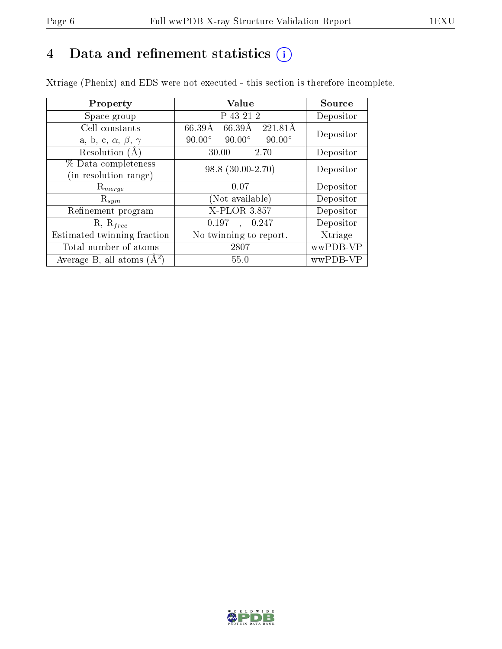## 4 Data and refinement statistics  $(i)$

Xtriage (Phenix) and EDS were not executed - this section is therefore incomplete.

| Property                               | Value                                           | Source    |  |
|----------------------------------------|-------------------------------------------------|-----------|--|
| Space group                            | P 43 21 2                                       | Depositor |  |
| Cell constants                         | 66.39Å<br>66.39Å<br>221.81A                     | Depositor |  |
| a, b, c, $\alpha$ , $\beta$ , $\gamma$ | $90.00^\circ$<br>$90.00^\circ$<br>$90.00^\circ$ |           |  |
| Resolution (A)                         | 30.00<br>$-2.70$                                | Depositor |  |
| % Data completeness                    | $98.8(30.00-2.70)$                              | Depositor |  |
| (in resolution range)                  |                                                 |           |  |
| $R_{merge}$                            | 0.07                                            | Depositor |  |
| $\mathrm{R}_{sym}$                     | Not available)                                  | Depositor |  |
| Refinement program                     | <b>X-PLOR 3.857</b>                             | Depositor |  |
| $R, R_{free}$                          | 0.197<br>, 0.247                                | Depositor |  |
| Estimated twinning fraction            | No twinning to report.                          | Xtriage   |  |
| Total number of atoms                  | 2807                                            | wwPDB-VP  |  |
| Average B, all atoms $(A^2)$           | 55.0                                            | wwPDB-VP  |  |

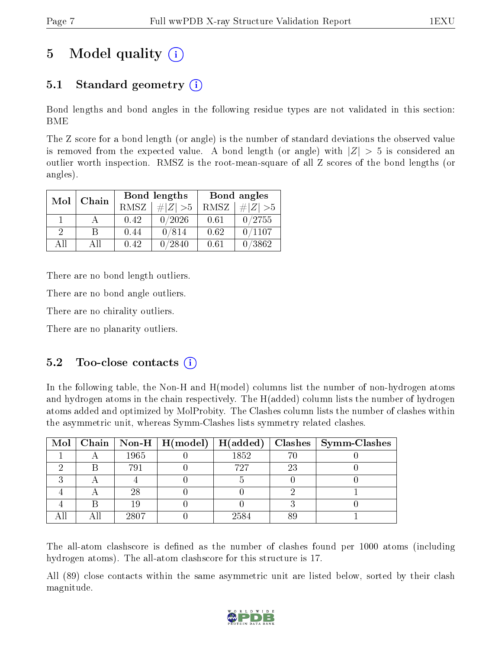## 5 Model quality  $(i)$

### 5.1 Standard geometry  $(i)$

Bond lengths and bond angles in the following residue types are not validated in this section: BME

The Z score for a bond length (or angle) is the number of standard deviations the observed value is removed from the expected value. A bond length (or angle) with  $|Z| > 5$  is considered an outlier worth inspection. RMSZ is the root-mean-square of all Z scores of the bond lengths (or angles).

| Mol | Chain |             | Bond lengths | Bond angles |             |  |
|-----|-------|-------------|--------------|-------------|-------------|--|
|     |       | <b>RMSZ</b> | $\# Z  > 5$  | RMSZ        | $\ Z\  > 5$ |  |
|     |       | 0.42        | 0/2026       | 0.61        | 0/2755      |  |
| - 2 | R     | 0.44        | 0/814        | 0.62        | 0/1107      |  |
| AП  | A 11  | 0.42        | 0/2840       | 0.61        | 0/3862      |  |

There are no bond length outliers.

There are no bond angle outliers.

There are no chirality outliers.

There are no planarity outliers.

#### $5.2$  Too-close contacts  $(i)$

In the following table, the Non-H and H(model) columns list the number of non-hydrogen atoms and hydrogen atoms in the chain respectively. The H(added) column lists the number of hydrogen atoms added and optimized by MolProbity. The Clashes column lists the number of clashes within the asymmetric unit, whereas Symm-Clashes lists symmetry related clashes.

|  |      |      |    | Mol   Chain   Non-H   H(model)   H(added)   Clashes   Symm-Clashes |
|--|------|------|----|--------------------------------------------------------------------|
|  | 1965 | 1852 |    |                                                                    |
|  | 791  | 727  | 23 |                                                                    |
|  |      |      |    |                                                                    |
|  | 28   |      |    |                                                                    |
|  | 19   |      |    |                                                                    |
|  | 2807 | 2584 |    |                                                                    |

The all-atom clashscore is defined as the number of clashes found per 1000 atoms (including hydrogen atoms). The all-atom clashscore for this structure is 17.

All (89) close contacts within the same asymmetric unit are listed below, sorted by their clash magnitude.

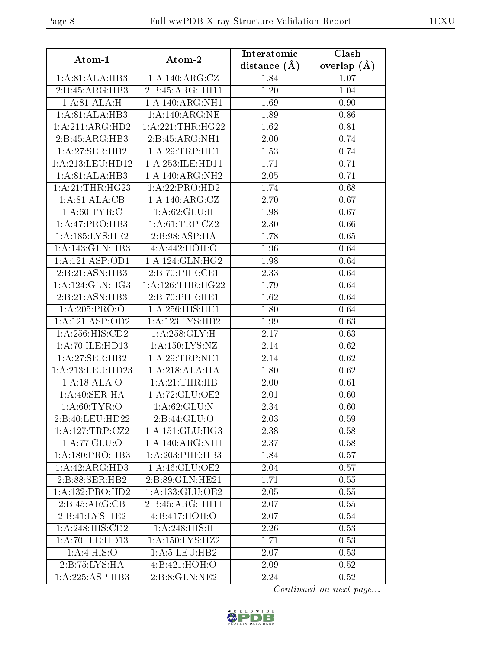| Atom-1                   | Atom-2                       | Interatomic       | Clash         |
|--------------------------|------------------------------|-------------------|---------------|
|                          |                              | distance $(A)$    | overlap $(A)$ |
| 1: A:81: ALA:HB3         | 1:A:140:ARG:CZ               | 1.84              | 1.07          |
| 2:B:45:ARG:HB3           | 2:B:45:ARG:HH11              | 1.20              | 1.04          |
| 1:A:81:ALA:H             | 1:A:140:ARG:NH1              | 1.69              | 0.90          |
| 1: A:81: ALA:HB3         | 1: A:140:ARG:NE              | 1.89              | 0.86          |
| 1:A:211:ARG:HD2          | 1:A:221:THR:HG22             | 1.62              | 0.81          |
| 2:B:45:ARG:HB3           | 2:B:45:ARG:NH1               | 2.00              | 0.74          |
| 1:A:27:SER:HB2           | 1:A:29:TRP:HE1               | 1.53              | 0.74          |
| 1:A:213:LEU:HD12         | 1:A:253:ILE:HD11             | 1.71              | 0.71          |
| 1: A:81: ALA:HB3         | 1:A:140:ARG:NH2              | 2.05              | 0.71          |
| 1: A:21:THR:HG23         | 1: A: 22: PRO: HD2           | 1.74              | 0.68          |
| 1:A:81:ALA:CB            | 1:A:140:ARG:CZ               | 2.70              | 0.67          |
| 1: A:60: TYR: C          | 1: A:62: GLU:H               | 1.98              | 0.67          |
| 1:A:47:PRO:HB3           | 1: A:61:TRP:CZ2              | $\overline{2.30}$ | 0.66          |
| 1: A: 185: LYS: HE2      | 2:B:98:ASP:HA                | 1.78              | 0.65          |
| 1:A:143:GLN:HB3          | 4:A:442:HOH:O                | 1.96              | 0.64          |
| 1: A: 121: ASP: OD1      | 1: A:124: GLN: HG2           | 1.98              | 0.64          |
| 2:B:21:ASN:HB3           | 2:B:70:PHE:CE1               | 2.33              | 0.64          |
| 1: A:124: GLN: HG3       | 1: A:126:THR:HG22            | 1.79              | 0.64          |
| 2:B:21:ASN:HB3           | 2:B:70:PHE:HE1               | 1.62              | 0.64          |
| 1: A:205:PRO:O           | 1: A:256: HIS: HE1           | 1.80              | 0.64          |
| 1:A:121:ASP:OD2          | 1:A:123:LYS:HB2              | 1.99              | 0.63          |
| 1:A:256:HIS:CD2          | 1: A:258: GLY:H              | 2.17              | 0.63          |
| 1: A:70: ILE: HD13       | 1: A: 150: LYS: NZ           | 2.14              | 0.62          |
| 1:A:27:SER:HB2           | 1: A:29:TRP:NE1              | 2.14              | 0.62          |
| 1:A:213:LEU:HD23         | 1:A:218:ALA:HA               | 1.80              | 0.62          |
| 1:A:18:ALA:O             | 1: A:21:THR:HB               | 2.00              | 0.61          |
| 1:A:40:SER:HA            | 1: A:72: GLU:OE2             | 2.01              | 0.60          |
| 1: A:60:TYR:O            | $1: A:62: \overline{GLU: N}$ | 2.34              | 0.60          |
| 2:B:40:LEU:HD22          | 2: B:44: GLU:O               | 2.03              | 0.59          |
| 1:A:127:TRP:CZ2          | 1: A:151: GLU:HG3            | 2.38              | 0.58          |
| 1: A:77: GLU:O           | 1:A:140:ARG:NH1              | 2.37              | 0.58          |
| 1:A:180:PRO:HB3          | 1:A:203:PHE:HB3              | 1.84              | 0.57          |
| 1: A:42: ARG:HD3         | 1: A:46: GLU:OE2             | 2.04              | 0.57          |
| 2:B:88:SER:HB2           | 2:B:89:GLN:HE21              | 1.71              | 0.55          |
| 1:A:132:PRO:HD2          | 1:A:133:GLU:OE2              | 2.05              | 0.55          |
| 2:B:45:ARG:CB            | 2:B:45:ARG:HH11              | 2.07              | 0.55          |
| 2:B:41:LYS:HE2           | 4:B:417:HOH:O                | 2.07              | 0.54          |
| 1:A:248:HIS:CD2          | 1:A:248:HIS:H                | 2.26              | 0.53          |
| 1: A:70: ILE: HD13       | 1:A:150:LYS:HZ2              | 1.71              | 0.53          |
| $1:A:4:\overline{HIS:O}$ | 1: A: 5: LEU: HB2            | 2.07              | 0.53          |
| 2:B:75:LYS:HA            | 4:B:421:HOH:O                | 2.09              | 0.52          |
| 1:A:225:ASP:HB3          | 2:B:8:GLN:NE2                | 2.24              | 0.52          |

Continued on next page...

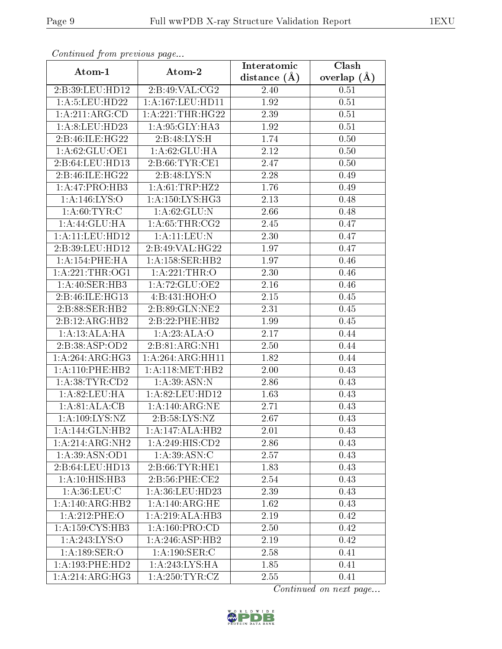| Continuation provided pugators |                      |                | $\overline{\text{Clash}}$ |
|--------------------------------|----------------------|----------------|---------------------------|
| Atom-1                         | Atom-2               | distance $(A)$ | overlap $(A)$             |
| 2:B:39:LEU:HD12                | 2:B:49:VAL:CG2       | 2.40           | 0.51                      |
| 1: A: 5: LEU: HD22             | 1: A: 167: LEU: HD11 | 1.92           | 0.51                      |
| 1:A:211:ARG:CD                 | 1:A:221:THR:HG22     | 2.39           | 0.51                      |
| 1: A:8: LEU: HD23              | 1:A:95:GLY:HA3       | 1.92           | 0.51                      |
| 2:B:46:ILE:HG22                | 2:B:48:LYS:H         | 1.74           | 0.50                      |
| 1: A:62: GLU:OE1               | 1: A:62: GLU:HA      | 2.12           | 0.50                      |
| 2:Bi:64:LEU:HD13               | 2: B:66: TYR:CE1     | 2.47           | 0.50                      |
| 2:B:46:ILE:HG22                | 2:B:48:LYS:N         | 2.28           | 0.49                      |
| 1:A:47:PRO:HB3                 | 1: A:61:TRP:HZ2      | 1.76           | 0.49                      |
| 1: A:146: LYS:O                | 1: A: 150: LYS: HG3  | 2.13           | 0.48                      |
| 1: A:60: TYR: C                | 1: A:62: GLU: N      | 2.66           | 0.48                      |
| 1:A:44:GLU:HA                  | 1: A:65:THR:CG2      | 2.45           | 0.47                      |
| 1:A:11:LEU:HD12                | 1: A: 11: LEU: N     | 2.30           | 0.47                      |
| 2:B:39:LEU:HD12                | 2:B:49:VAL:HG22      | 1.97           | 0.47                      |
| 1: A:154:PHE:HA                | 1: A:158: SER:HB2    | 1.97           | 0.46                      |
| 1: A:221:THR:OG1               | 1:A:221:THR:O        | 2.30           | 0.46                      |
| 1: A:40: SER:HB3               | 1:A:72:GLU:OE2       | 2.16           | 0.46                      |
| 2:B:46:ILE:HG13                | 4:B:431:HOH:O        | 2.15           | 0.45                      |
| 2:B:88:SER:HB2                 | 2: B:89: GLN: NE2    | 2.31           | 0.45                      |
| 2:B:12:ARG:HB2                 | 2:B:22:PHE:HB2       | 1.99           | 0.45                      |
| 1:A:13:ALA:HA                  | 1:A:23:ALA:O         | 2.17           | 0.44                      |
| 2:B:38:ASP:OD2                 | 2:B:81:ARG:NH1       | 2.50           | 0.44                      |
| 1: A:264: ARG: HG3             | 1:A:264:ARG:HH11     | 1.82           | 0.44                      |
| 1:A:110:PHE:HB2                | 1: A:118:MET:HB2     | 2.00           | 0.43                      |
| 1: A: 38: TYR: CD2             | 1: A:39: ASN: N      | 2.86           | 0.43                      |
| 1: A:82:LEU:HA                 | 1:A:82:LEU:HD12      | 1.63           | 0.43                      |
| 1: A:81: ALA:CB                | 1: A:140:ARG:NE      | 2.71           | 0.43                      |
| 1:A:109:LYS:NZ                 | 2:B:58:LYS:NZ        | 2.67           | 0.43                      |
| 1:A:144:GLN:HB2                | 1:A:147:ALA:HB2      | 2.01           | 0.43                      |
| 1:A:214:ARG:NH2                | 1:A:249:HIS:CD2      | 2.86           | 0.43                      |
| 1:A:39:ASN:OD1                 | 1: A:39: ASN: C      | 2.57           | 0.43                      |
| 2:B:64:LEU:HD13                | 2:B:66:TYR:HE1       | 1.83           | 0.43                      |
| 1:A:10:HIS:HB3                 | 2: B:56: PHE:CE2     | 2.54           | 0.43                      |
| 1: A:36: LEU: C                | 1: A:36:LEU:HD23     | 2.39           | 0.43                      |
| 1:A:140:ARG:HB2                | 1: A:140:ARG:HE      | 1.62           | 0.43                      |
| $1: A:212:$ PHE:O              | 1:A:219:ALA:HB3      | 2.19           | 0.42                      |
| 1: A: 159: CYS: HB3            | 1: A: 160: PRO:CD    | 2.50           | 0.42                      |
| 1:A:243:LYS:O                  | 1: A:246: ASP:HB2    | 2.19           | 0.42                      |
| 1: A: 189: SER: O              | 1: A: 190: SER: C    | 2.58           | 0.41                      |
| 1:A:193:PHE:HD2                | 1:A:243:LYS:HA       | 1.85           | 0.41                      |
| 1:A:214:ARG:HG3                | 1: A:250:TYR:CZ      | 2.55           | 0.41                      |

Continued from previous page.

Continued on next page...

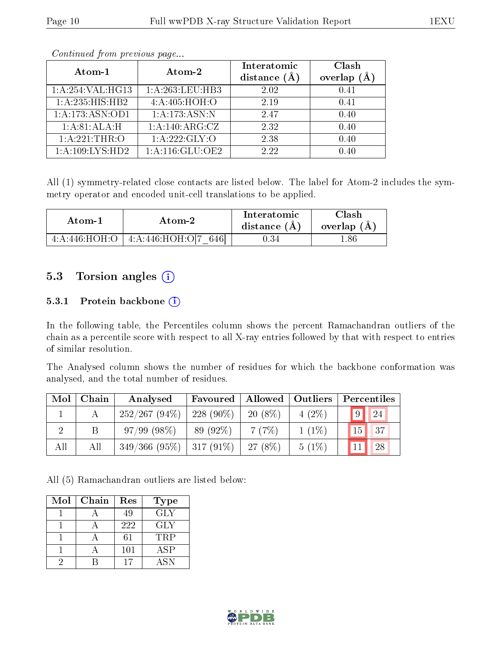| Atom-1              | Atom-2            | Interatomic    | Clash   |
|---------------------|-------------------|----------------|---------|
|                     |                   | distance $(A)$ | overlap |
| 1:A:254:VAL:HG13    | 1:A:263:LEU:HB3   | 2.02           | 0.41    |
| 1:A:235:HIS:HB2     | 4:A:405:HOH:O     | 2.19           | 0.41    |
| 1: A: 173: ASN: OD1 | 1:A:173:ASN:N     | 247            | 0.40    |
| 1:A:81:ALA:H        | 1:A:140:ARG:CZ    | 2.32           | 0.40    |
| 1: A:221:THR:O      | 1: A: 222: GLY: O | 2.38           | 0.40    |
| 1:A:109:LYS:HD2     | 1:A:116:GLU:OE2   | 2.22           | 0.40    |

Continued from previous page...

All (1) symmetry-related close contacts are listed below. The label for Atom-2 includes the symmetry operator and encoded unit-cell translations to be applied.

| Atom-1 | Atom-2                                      | Interatomic<br>distance $(A)$ | Clash<br>overlap $(A)$ |
|--------|---------------------------------------------|-------------------------------|------------------------|
|        | $4:A:446:HOH:O$   $4:A:446:HOH:O[7]$<br>646 | 1.34                          | -86                    |

#### 5.3 Torsion angles (i)

#### 5.3.1 Protein backbone (i)

In the following table, the Percentiles column shows the percent Ramachandran outliers of the chain as a percentile score with respect to all X-ray entries followed by that with respect to entries of similar resolution.

The Analysed column shows the number of residues for which the backbone conformation was analysed, and the total number of residues.

| Mol          | Chain | Analysed        | Favoured     | Allowed   | $\vert$ Outliers | Percentiles      |
|--------------|-------|-----------------|--------------|-----------|------------------|------------------|
| $\mathbf{L}$ |       | $252/267(94\%)$ | 228 $(90\%)$ | $20(8\%)$ | $4(2\%)$         | $\sqrt{9}$<br>24 |
|              | B     | 97/99(98%)      | 89 (92\%)    | 7(7%)     | $1(1\%)$         | 15<br>137        |
| All          | All   | 349/366(95%)    | $ 317(91\%)$ | $27(8\%)$ | $5(1\%)$         | 128<br>11        |

All (5) Ramachandran outliers are listed below:

| Mol | Chain | Res | <b>Type</b> |
|-----|-------|-----|-------------|
|     |       | 49  | <b>GLY</b>  |
|     |       | 222 | <b>GLY</b>  |
|     |       | 61  | <b>TRP</b>  |
|     |       | 101 | ASP         |
|     |       | 17  | <b>ASN</b>  |

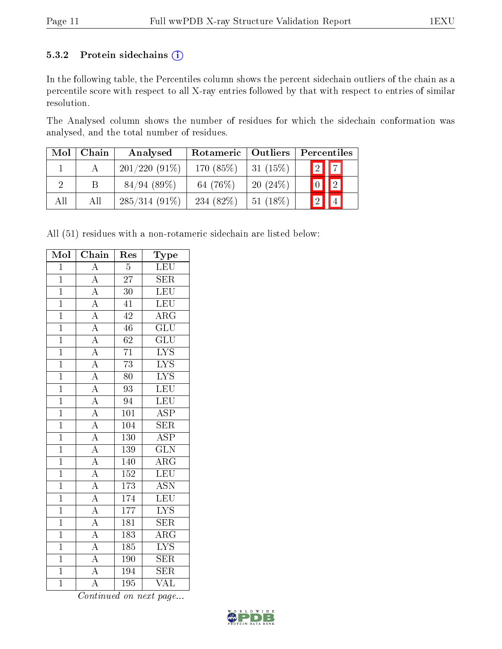#### 5.3.2 Protein sidechains (i)

In the following table, the Percentiles column shows the percent sidechain outliers of the chain as a percentile score with respect to all X-ray entries followed by that with respect to entries of similar resolution.

The Analysed column shows the number of residues for which the sidechain conformation was analysed, and the total number of residues.

| Mol | Chain | Analysed        | Outliers<br>Rotameric |            | Percentiles |  |  |
|-----|-------|-----------------|-----------------------|------------|-------------|--|--|
|     |       | $201/220(91\%)$ | 170 (85%)             | $31(15\%)$ | $\sqrt{2}$  |  |  |
|     | В     | 84/94(89%)      | 64 (76%)              | 20(24%)    | $\sqrt{2}$  |  |  |
| All | All   | $285/314(91\%)$ | 234 $(82\%)$          | $51(18\%)$ |             |  |  |

All (51) residues with a non-rotameric sidechain are listed below:

| Mol            | Chain                                                                                                                                           | Res              | Type                    |
|----------------|-------------------------------------------------------------------------------------------------------------------------------------------------|------------------|-------------------------|
| $\overline{1}$ | $\overline{A}$                                                                                                                                  | $\overline{5}$   | <b>LEU</b>              |
| $\overline{1}$ | $\overline{A}$                                                                                                                                  | $\overline{27}$  | $\overline{\text{SER}}$ |
| $\overline{1}$ | $\frac{1}{A}$                                                                                                                                   | $\overline{30}$  | LEU                     |
| $\overline{1}$ | $\frac{\overline{A}}{\overline{A}}$                                                                                                             | $\overline{41}$  | LEU                     |
| $\overline{1}$ |                                                                                                                                                 | 42               | $\overline{\rm{ARG}}$   |
| $\overline{1}$ |                                                                                                                                                 | $\overline{46}$  | $\overline{\text{GLU}}$ |
| $\overline{1}$ | $\overline{A}$                                                                                                                                  | $\overline{62}$  | $\overline{{\rm GLU}}$  |
| $\overline{1}$ | $\frac{\overline{A}}{A}$                                                                                                                        | $7\overline{1}$  | $\overline{\text{LYS}}$ |
| $\mathbf{1}$   |                                                                                                                                                 | $\overline{73}$  | $\overline{\text{LYS}}$ |
| $\overline{1}$ |                                                                                                                                                 | $\overline{80}$  | $\overline{\text{LYS}}$ |
| $\overline{1}$ | $\frac{\overline{A}}{\overline{A}}$                                                                                                             | $\overline{93}$  | $\overline{\text{LEU}}$ |
| $\overline{1}$ |                                                                                                                                                 | $\overline{94}$  | $\overline{\text{LEU}}$ |
| $\overline{1}$ | $\frac{\overline{A}}{\overline{A}}$ $\frac{\overline{A}}{\overline{A}}$ $\frac{\overline{A}}{\overline{A}}$ $\frac{\overline{A}}{\overline{A}}$ | 101              | $\overline{\text{ASP}}$ |
| $\overline{1}$ |                                                                                                                                                 | $\overline{104}$ | $\overline{\text{SER}}$ |
| $\overline{1}$ |                                                                                                                                                 | <b>130</b>       | $\overline{\text{ASP}}$ |
| $\overline{1}$ |                                                                                                                                                 | $139\,$          | $\overline{\text{GLN}}$ |
| $\overline{1}$ |                                                                                                                                                 | 140              | $\overline{\rm{ARG}}$   |
| $\overline{1}$ |                                                                                                                                                 | 152              | LEU                     |
| $\overline{1}$ |                                                                                                                                                 | $\overline{173}$ | $\overline{\text{ASN}}$ |
| $\overline{1}$ |                                                                                                                                                 | 174              | LEU                     |
| $\overline{1}$ | $\overline{A}$                                                                                                                                  | 177              | $\overline{\text{LYS}}$ |
| $\overline{1}$ | $\frac{\overline{A}}{\overline{A}}$                                                                                                             | 181              | $\overline{\text{SER}}$ |
| $\overline{1}$ |                                                                                                                                                 | 183              | $\overline{\rm{ARG}}$   |
| $\overline{1}$ | $\overline{A}$                                                                                                                                  | 185              | $\overline{\text{LYS}}$ |
| $\mathbf{1}$   | $\frac{\overline{A}}{\overline{A}}$                                                                                                             | 190              | <b>SER</b>              |
| $\overline{1}$ |                                                                                                                                                 | 194              | $\overline{\text{SER}}$ |
| $\overline{1}$ | $\overline{\rm A}$                                                                                                                              | 195              | $\overline{\text{VAL}}$ |

Continued on next page...

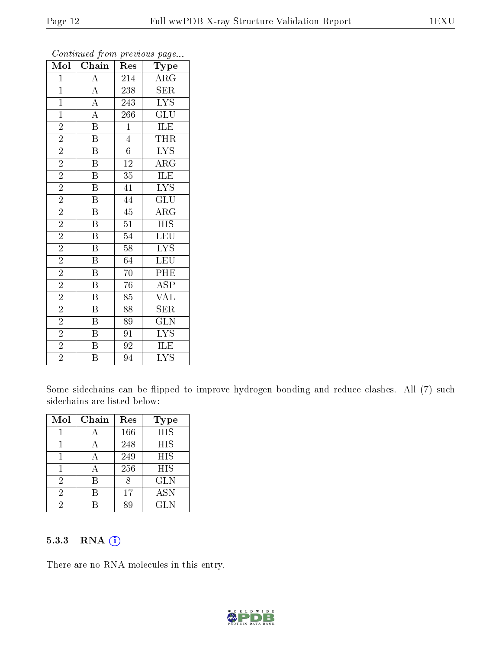| Mol            | $\overline{\text{Chain}}$                                                                                   | Res              | Type                    |
|----------------|-------------------------------------------------------------------------------------------------------------|------------------|-------------------------|
| $\mathbf 1$    |                                                                                                             | 214              | $\overline{\rm{ARG}}$   |
| $\mathbf{1}$   | $\frac{\overline{A}}{\overline{A}}$ $\frac{\overline{A}}{\overline{A}}$ $\frac{\overline{A}}{\overline{B}}$ | 238              | SER                     |
| $\overline{1}$ |                                                                                                             | 243              | $\overline{\text{LYS}}$ |
| $\mathbf{1}$   |                                                                                                             | $\overline{266}$ | $\overline{\text{GLU}}$ |
| $\overline{2}$ |                                                                                                             | $\overline{1}$   | ILE                     |
| $\overline{2}$ | $\overline{\mathbf{B}}$                                                                                     | $\overline{4}$   | THR                     |
| $\overline{2}$ | $\overline{\mathbf{B}}$                                                                                     | $\overline{6}$   | $\overline{\text{LYS}}$ |
| $\overline{2}$ | $\overline{\mathbf{B}}$                                                                                     | $\overline{12}$  | $\overline{\rm{ARG}}$   |
| $\overline{2}$ | $\overline{\mathrm{B}}$                                                                                     | $\overline{35}$  | $\overline{\text{ILE}}$ |
| $\overline{2}$ | $\overline{\mathrm{B}}$                                                                                     | 41               | $\overline{\text{LYS}}$ |
| $\overline{2}$ | $\overline{\mathrm{B}}$                                                                                     | 44               | $\overline{\text{GLU}}$ |
| $\overline{2}$ | $\overline{\mathrm{B}}$                                                                                     | $\overline{45}$  | $\overline{\rm{ARG}}$   |
| $\overline{2}$ | $\overline{\mathbf{B}}$                                                                                     | $\overline{51}$  | $\overline{HIS}$        |
| $\overline{2}$ | $\overline{\mathrm{B}}$                                                                                     | $\overline{54}$  | $\overline{\text{LEU}}$ |
| $\overline{2}$ | $\overline{\mathrm{B}}$                                                                                     | $\overline{58}$  | $\overline{\text{LYS}}$ |
| $\overline{2}$ | $\overline{\mathrm{B}}$                                                                                     | 64               | $\overline{\text{LEU}}$ |
| $\overline{2}$ | $\overline{\mathrm{B}}$                                                                                     | $\overline{70}$  | $\overline{\rm{PHE}}$   |
| $\overline{2}$ | $\overline{\mathrm{B}}$                                                                                     | $\overline{76}$  | $\overline{\text{ASP}}$ |
| $\overline{2}$ | B                                                                                                           | 85               | $\overline{\text{VAL}}$ |
| $\overline{2}$ | $\overline{\mathrm{B}}$                                                                                     | 88               | $\overline{\text{SER}}$ |
| $\overline{2}$ | $\, {\bf B}$                                                                                                | 89               | <b>GLN</b>              |
| $\overline{2}$ | $\overline{\mathrm{B}}$                                                                                     | $\overline{91}$  | $\overline{\text{LYS}}$ |
| $\overline{2}$ | $\, {\bf B}$                                                                                                | 92               | ILE                     |
| $\overline{2}$ | $\overline{\mathrm{B}}$                                                                                     | 94               | $\overline{\rm LYS}$    |

Continued from previous page...

Some sidechains can be flipped to improve hydrogen bonding and reduce clashes. All (7) such sidechains are listed below:

| Mol            | Chain | Res | Type       |
|----------------|-------|-----|------------|
|                |       | 166 | <b>HIS</b> |
|                |       | 248 | HIS        |
|                |       | 249 | <b>HIS</b> |
|                |       | 256 | <b>HIS</b> |
| $\overline{2}$ | R     |     | <b>GLN</b> |
| 2              |       | 17  | <b>ASN</b> |
| 2              |       |     | <b>GLN</b> |

#### 5.3.3 RNA [O](https://www.wwpdb.org/validation/2017/XrayValidationReportHelp#rna)i

There are no RNA molecules in this entry.

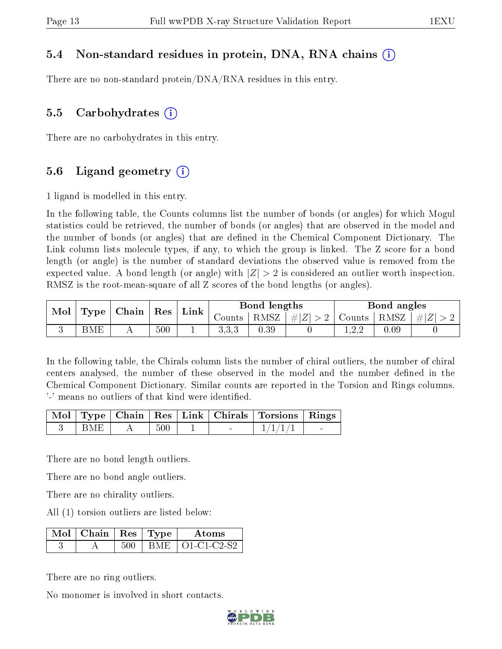#### 5.4 Non-standard residues in protein, DNA, RNA chains (i)

There are no non-standard protein/DNA/RNA residues in this entry.

#### 5.5 Carbohydrates (i)

There are no carbohydrates in this entry.

#### 5.6 Ligand geometry (i)

1 ligand is modelled in this entry.

In the following table, the Counts columns list the number of bonds (or angles) for which Mogul statistics could be retrieved, the number of bonds (or angles) that are observed in the model and the number of bonds (or angles) that are defined in the Chemical Component Dictionary. The Link column lists molecule types, if any, to which the group is linked. The Z score for a bond length (or angle) is the number of standard deviations the observed value is removed from the expected value. A bond length (or angle) with  $|Z| > 2$  is considered an outlier worth inspection. RMSZ is the root-mean-square of all Z scores of the bond lengths (or angles).

|  | $\perp$ Type $\mid$ Chain $\mid$ Res<br>Mol |  |     | $^+$ Link |       | Bond lengths |        |                 | Bond angles |  |
|--|---------------------------------------------|--|-----|-----------|-------|--------------|--------|-----------------|-------------|--|
|  |                                             |  |     | Counts    | RMSZ  | $\# Z  > 2$  | Counts | $ RMSZ  \#  Z $ |             |  |
|  | BME                                         |  | 500 | <b>.</b>  | 3.3.3 | 0.39         |        | L.∠.∠           | 0.09        |  |

In the following table, the Chirals column lists the number of chiral outliers, the number of chiral centers analysed, the number of these observed in the model and the number defined in the Chemical Component Dictionary. Similar counts are reported in the Torsion and Rings columns. '-' means no outliers of that kind were identified.

|            |     |        | Mol   Type   Chain   Res   Link   Chirals   Torsions   Rings |        |
|------------|-----|--------|--------------------------------------------------------------|--------|
| <b>BMF</b> | 500 | $\sim$ | $-1/1/1/$                                                    | $\sim$ |

There are no bond length outliers.

There are no bond angle outliers.

There are no chirality outliers.

All (1) torsion outliers are listed below:

| $\overline{\phantom{a}}$ Mol $\overline{\phantom{a}}$ Chain $\overline{\phantom{a}}$ Res $\overline{\phantom{a}}$ Type $\overline{\phantom{a}}$ |         | Atoms             |
|-------------------------------------------------------------------------------------------------------------------------------------------------|---------|-------------------|
|                                                                                                                                                 | I BME - | $\pm$ O1-C1-C2-S2 |

There are no ring outliers.

No monomer is involved in short contacts.

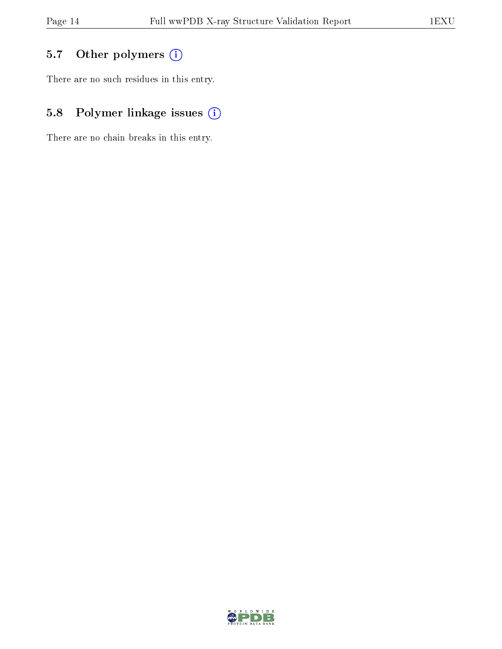### 5.7 [O](https://www.wwpdb.org/validation/2017/XrayValidationReportHelp#nonstandard_residues_and_ligands)ther polymers (i)

There are no such residues in this entry.

### 5.8 Polymer linkage issues (i)

There are no chain breaks in this entry.